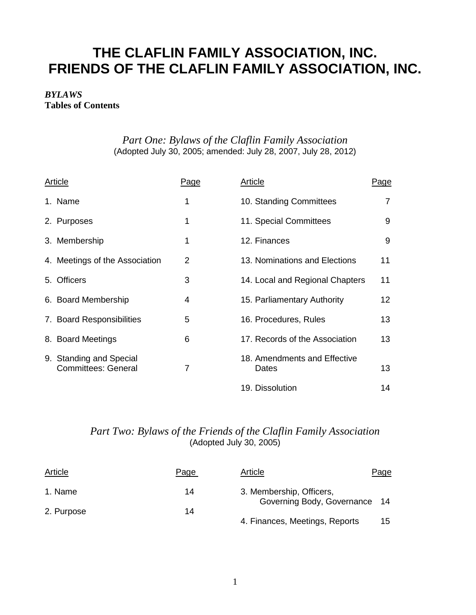# **THE CLAFLIN FAMILY ASSOCIATION, INC. FRIENDS OF THE CLAFLIN FAMILY ASSOCIATION, INC.**

# *BYLAWS* **Tables of Contents**

# *Part One: Bylaws of the Claflin Family Association* (Adopted July 30, 2005; amended: July 28, 2007, July 28, 2012)

| <b>Article</b>                                        | <u>Page</u>    | <b>Article</b>                        | <u>Page</u> |
|-------------------------------------------------------|----------------|---------------------------------------|-------------|
| 1. Name                                               | 1              | 10. Standing Committees               | 7           |
| 2. Purposes                                           | 1              | 11. Special Committees                | 9           |
| 3. Membership                                         | 1              | 12. Finances                          | 9           |
| 4. Meetings of the Association                        | 2              | 13. Nominations and Elections         | 11          |
| 5. Officers                                           | 3              | 14. Local and Regional Chapters       | 11          |
| 6. Board Membership                                   | 4              | 15. Parliamentary Authority           | 12          |
| 7. Board Responsibilities                             | 5              | 16. Procedures, Rules                 | 13          |
| 8. Board Meetings                                     | 6              | 17. Records of the Association        | 13          |
| 9. Standing and Special<br><b>Committees: General</b> | $\overline{7}$ | 18. Amendments and Effective<br>Dates | 13          |
|                                                       |                | 19. Dissolution                       | 14          |

# *Part Two: Bylaws of the Friends of the Claflin Family Association* (Adopted July 30, 2005)

| Article    | Page | Article                        | Page |
|------------|------|--------------------------------|------|
| 1. Name    | 14   | 3. Membership, Officers,       |      |
| 2. Purpose | 14   | Governing Body, Governance 14  |      |
|            |      | 4. Finances, Meetings, Reports | 15   |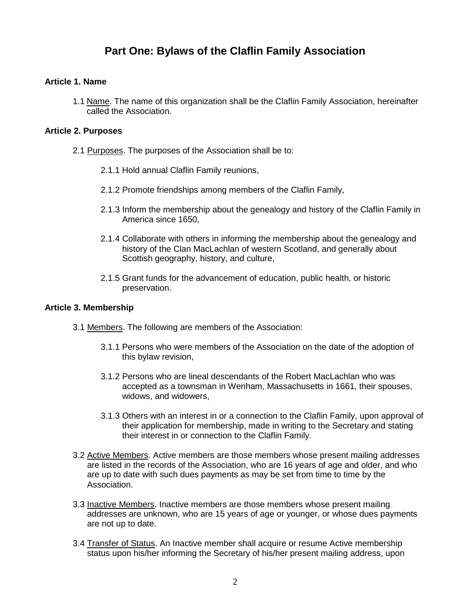# **Part One: Bylaws of the Claflin Family Association**

#### **Article 1. Name**

1.1 Name. The name of this organization shall be the Claflin Family Association, hereinafter called the Association.

#### **Article 2. Purposes**

- 2.1 Purposes. The purposes of the Association shall be to:
	- 2.1.1 Hold annual Claflin Family reunions,
	- 2.1.2 Promote friendships among members of the Claflin Family,
	- 2.1.3 Inform the membership about the genealogy and history of the Claflin Family in America since 1650,
	- 2.1.4 Collaborate with others in informing the membership about the genealogy and history of the Clan MacLachlan of western Scotland, and generally about Scottish geography, history, and culture,
	- 2.1.5 Grant funds for the advancement of education, public health, or historic preservation.

#### **Article 3. Membership**

- 3.1 Members. The following are members of the Association:
	- 3.1.1 Persons who were members of the Association on the date of the adoption of this bylaw revision,
	- 3.1.2 Persons who are lineal descendants of the Robert MacLachlan who was accepted as a townsman in Wenham, Massachusetts in 1661, their spouses, widows, and widowers,
	- 3.1.3 Others with an interest in or a connection to the Claflin Family, upon approval of their application for membership, made in writing to the Secretary and stating their interest in or connection to the Claflin Family.
- 3.2 Active Members. Active members are those members whose present mailing addresses are listed in the records of the Association, who are 16 years of age and older, and who are up to date with such dues payments as may be set from time to time by the Association.
- 3.3 Inactive Members. Inactive members are those members whose present mailing addresses are unknown, who are 15 years of age or younger, or whose dues payments are not up to date.
- <span id="page-1-0"></span>3.4 Transfer of Status. An Inactive member shall acquire or resume Active membership status upon his/her informing the Secretary of his/her present mailing address, upon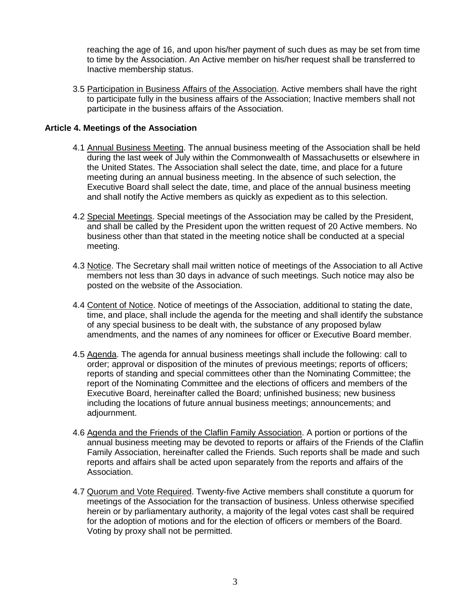reaching the age of 16, and upon his/her payment of such dues as may be set from time to time by the Association. An Active member on his/her request shall be transferred to Inactive membership status.

3.5 Participation in Business Affairs of the Association. Active members shall have the right to participate fully in the business affairs of the Association; Inactive members shall not participate in the business affairs of the Association.

# **Article 4. Meetings of the Association**

- 4.1 Annual Business Meeting. The annual business meeting of the Association shall be held during the last week of July within the Commonwealth of Massachusetts or elsewhere in the United States. The Association shall select the date, time, and place for a future meeting during an annual business meeting. In the absence of such selection, the Executive Board shall select the date, time, and place of the annual business meeting and shall notify the Active members as quickly as expedient as to this selection.
- 4.2 Special Meetings. Special meetings of the Association may be called by the President, and shall be called by the President upon the written request of 20 Active members. No business other than that stated in the meeting notice shall be conducted at a special meeting.
- 4.3 Notice. The Secretary shall mail written notice of meetings of the Association to all Active members not less than 30 days in advance of such meetings. Such notice may also be posted on the website of the Association.
- 4.4 Content of Notice. Notice of meetings of the Association, additional to stating the date, time, and place, shall include the agenda for the meeting and shall identify the substance of any special business to be dealt with, the substance of any proposed bylaw amendments, and the names of any nominees for officer or Executive Board member.
- 4.5 Agenda. The agenda for annual business meetings shall include the following: call to order; approval or disposition of the minutes of previous meetings; reports of officers; reports of standing and special committees other than the Nominating Committee; the report of the Nominating Committee and the elections of officers and members of the Executive Board, hereinafter called the Board; unfinished business; new business including the locations of future annual business meetings; announcements; and adjournment.
- 4.6 Agenda and the Friends of the Claflin Family Association. A portion or portions of the annual business meeting may be devoted to reports or affairs of the Friends of the Claflin Family Association, hereinafter called the Friends. Such reports shall be made and such reports and affairs shall be acted upon separately from the reports and affairs of the Association.
- 4.7 Quorum and Vote Required. Twenty-five Active members shall constitute a quorum for meetings of the Association for the transaction of business. Unless otherwise specified herein or by parliamentary authority, a majority of the legal votes cast shall be required for the adoption of motions and for the election of officers or members of the Board. Voting by proxy shall not be permitted.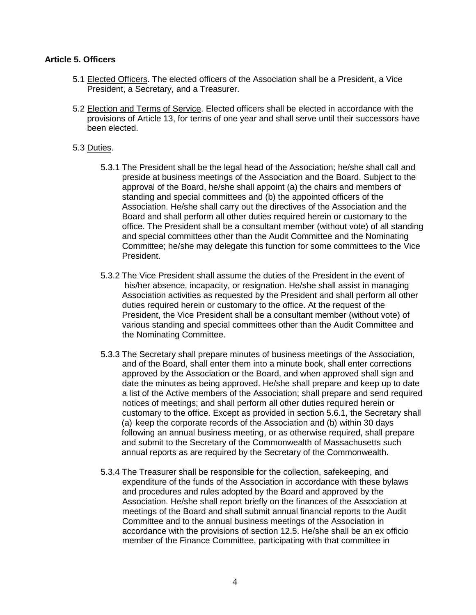### **Article 5. Officers**

- 5.1 Elected Officers. The elected officers of the Association shall be a President, a Vice President, a Secretary, and a Treasurer.
- 5.2 Election and Terms of Service. Elected officers shall be elected in accordance with the provisions of Article 13, for terms of one year and shall serve until their successors have been elected.

#### 5.3 Duties.

- 5.3.1 The President shall be the legal head of the Association; he/she shall call and preside at business meetings of the Association and the Board. Subject to the approval of the Board, he/she shall appoint (a) the chairs and members of standing and special committees and (b) the appointed officers of the Association. He/she shall carry out the directives of the Association and the Board and shall perform all other duties required herein or customary to the office. The President shall be a consultant member (without vote) of all standing and special committees other than the Audit Committee and the Nominating Committee; he/she may delegate this function for some committees to the Vice President.
- 5.3.2 The Vice President shall assume the duties of the President in the event of his/her absence, incapacity, or resignation. He/she shall assist in managing Association activities as requested by the President and shall perform all other duties required herein or customary to the office. At the request of the President, the Vice President shall be a consultant member (without vote) of various standing and special committees other than the Audit Committee and the Nominating Committee.
- 5.3.3 The Secretary shall prepare minutes of business meetings of the Association, and of the Board, shall enter them into a minute book, shall enter corrections approved by the Association or the Board, and when approved shall sign and date the minutes as being approved. He/she shall prepare and keep up to date a list of the Active members of the Association; shall prepare and send required notices of meetings; and shall perform all other duties required herein or customary to the office. Except as provided in section 5.6.1, the Secretary shall (a) keep the corporate records of the Association and (b) within 30 days following an annual business meeting, or as otherwise required, shall prepare and submit to the Secretary of the Commonwealth of Massachusetts such annual reports as are required by the Secretary of the Commonwealth.
- 5.3.4 The Treasurer shall be responsible for the collection, safekeeping, and expenditure of the funds of the Association in accordance with these bylaws and procedures and rules adopted by the Board and approved by the Association. He/she shall report briefly on the finances of the Association at meetings of the Board and shall submit annual financial reports to the Audit Committee and to the annual business meetings of the Association in accordance with the provisions of section 12.5. He/she shall be an ex officio member of the Finance Committee, participating with that committee in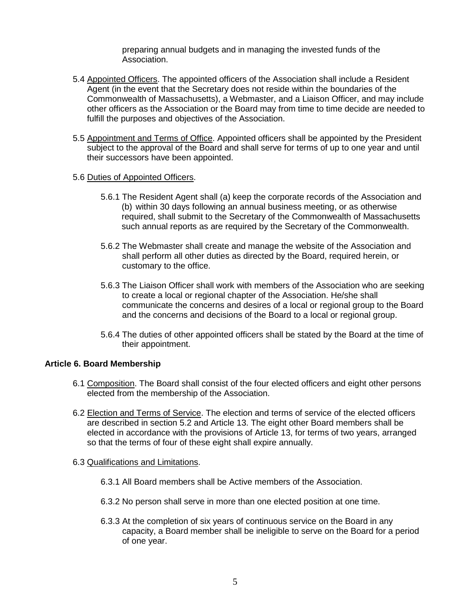preparing annual budgets and in managing the invested funds of the Association.

- 5.4 Appointed Officers. The appointed officers of the Association shall include a Resident Agent (in the event that the Secretary does not reside within the boundaries of the Commonwealth of Massachusetts), a Webmaster, and a Liaison Officer, and may include other officers as the Association or the Board may from time to time decide are needed to fulfill the purposes and objectives of the Association.
- 5.5 Appointment and Terms of Office. Appointed officers shall be appointed by the President subject to the approval of the Board and shall serve for terms of up to one year and until their successors have been appointed.

#### 5.6 Duties of Appointed Officers.

- 5.6.1 The Resident Agent shall (a) keep the corporate records of the Association and (b) within 30 days following an annual business meeting, or as otherwise required, shall submit to the Secretary of the Commonwealth of Massachusetts such annual reports as are required by the Secretary of the Commonwealth.
- 5.6.2 The Webmaster shall create and manage the website of the Association and shall perform all other duties as directed by the Board, required herein, or customary to the office.
- 5.6.3 The Liaison Officer shall work with members of the Association who are seeking to create a local or regional chapter of the Association. He/she shall communicate the concerns and desires of a local or regional group to the Board and the concerns and decisions of the Board to a local or regional group.
- 5.6.4 The duties of other appointed officers shall be stated by the Board at the time of their appointment.

# **Article 6. Board Membership**

- 6.1 Composition. The Board shall consist of the four elected officers and eight other persons elected from the membership of the Association.
- 6.2 Election and Terms of Service. The election and terms of service of the elected officers are described in section 5.2 and Article 13. The eight other Board members shall be elected in accordance with the provisions of Article 13, for terms of two years, arranged so that the terms of four of these eight shall expire annually.
- 6.3 Qualifications and Limitations.
	- 6.3.1 All Board members shall be Active members of the Association.
	- 6.3.2 No person shall serve in more than one elected position at one time.
	- 6.3.3 At the completion of six years of continuous service on the Board in any capacity, a Board member shall be ineligible to serve on the Board for a period of one year.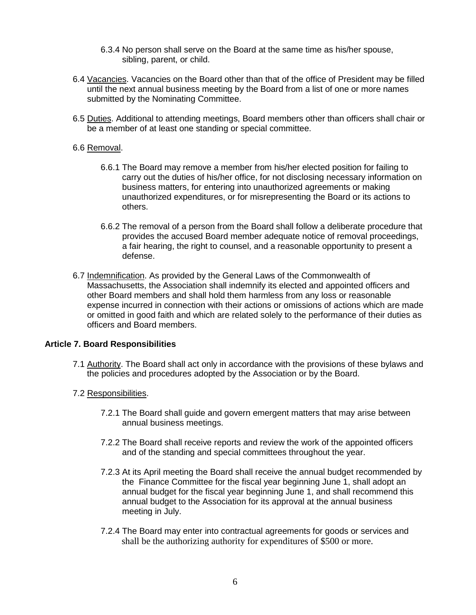- 6.3.4 No person shall serve on the Board at the same time as his/her spouse, sibling, parent, or child.
- 6.4 Vacancies. Vacancies on the Board other than that of the office of President may be filled until the next annual business meeting by the Board from a list of one or more names submitted by the Nominating Committee.
- 6.5 Duties. Additional to attending meetings, Board members other than officers shall chair or be a member of at least one standing or special committee.

### 6.6 Removal.

- 6.6.1 The Board may remove a member from his/her elected position for failing to carry out the duties of his/her office, for not disclosing necessary information on business matters, for entering into unauthorized agreements or making unauthorized expenditures, or for misrepresenting the Board or its actions to others.
- 6.6.2 The removal of a person from the Board shall follow a deliberate procedure that provides the accused Board member adequate notice of removal proceedings, a fair hearing, the right to counsel, and a reasonable opportunity to present a defense.
- 6.7 Indemnification. As provided by the General Laws of the Commonwealth of Massachusetts, the Association shall indemnify its elected and appointed officers and other Board members and shall hold them harmless from any loss or reasonable expense incurred in connection with their actions or omissions of actions which are made or omitted in good faith and which are related solely to the performance of their duties as officers and Board members.

# **Article 7. Board Responsibilities**

- 7.1 Authority. The Board shall act only in accordance with the provisions of these bylaws and the policies and procedures adopted by the Association or by the Board.
- 7.2 Responsibilities.
	- 7.2.1 The Board shall guide and govern emergent matters that may arise between annual business meetings.
	- 7.2.2 The Board shall receive reports and review the work of the appointed officers and of the standing and special committees throughout the year.
	- 7.2.3 At its April meeting the Board shall receive the annual budget recommended by the Finance Committee for the fiscal year beginning June 1, shall adopt an annual budget for the fiscal year beginning June 1, and shall recommend this annual budget to the Association for its approval at the annual business meeting in July.
	- 7.2.4 The Board may enter into contractual agreements for goods or services and shall be the authorizing authority for expenditures of \$500 or more.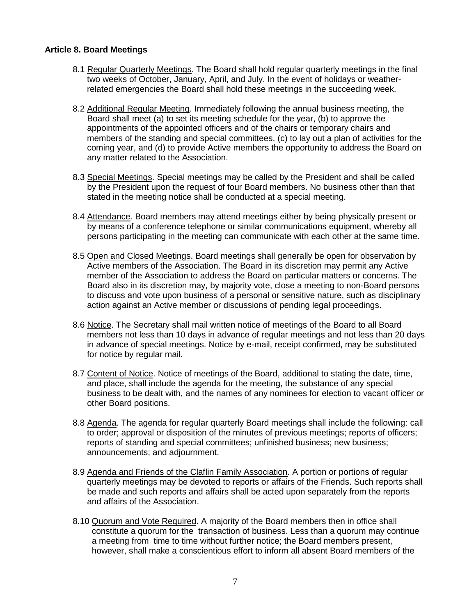#### **Article 8. Board Meetings**

- 8.1 Regular Quarterly Meetings. The Board shall hold regular quarterly meetings in the final two weeks of October, January, April, and July. In the event of holidays or weather related emergencies the Board shall hold these meetings in the succeeding week.
- 8.2 Additional Regular Meeting. Immediately following the annual business meeting, the Board shall meet (a) to set its meeting schedule for the year, (b) to approve the appointments of the appointed officers and of the chairs or temporary chairs and members of the standing and special committees, (c) to lay out a plan of activities for the coming year, and (d) to provide Active members the opportunity to address the Board on any matter related to the Association.
- 8.3 Special Meetings. Special meetings may be called by the President and shall be called by the President upon the request of four Board members. No business other than that stated in the meeting notice shall be conducted at a special meeting.
- 8.4 Attendance. Board members may attend meetings either by being physically present or by means of a conference telephone or similar communications equipment, whereby all persons participating in the meeting can communicate with each other at the same time.
- 8.5 Open and Closed Meetings. Board meetings shall generally be open for observation by Active members of the Association. The Board in its discretion may permit any Active member of the Association to address the Board on particular matters or concerns. The Board also in its discretion may, by majority vote, close a meeting to non-Board persons to discuss and vote upon business of a personal or sensitive nature, such as disciplinary action against an Active member or discussions of pending legal proceedings.
- 8.6 Notice. The Secretary shall mail written notice of meetings of the Board to all Board members not less than 10 days in advance of regular meetings and not less than 20 days in advance of special meetings. Notice by e-mail, receipt confirmed, may be substituted for notice by regular mail.
- 8.7 Content of Notice. Notice of meetings of the Board, additional to stating the date, time, and place, shall include the agenda for the meeting, the substance of any special business to be dealt with, and the names of any nominees for election to vacant officer or other Board positions.
- 8.8 Agenda. The agenda for regular quarterly Board meetings shall include the following: call to order; approval or disposition of the minutes of previous meetings; reports of officers; reports of standing and special committees; unfinished business; new business; announcements; and adjournment.
- 8.9 Agenda and Friends of the Claflin Family Association. A portion or portions of regular quarterly meetings may be devoted to reports or affairs of the Friends. Such reports shall be made and such reports and affairs shall be acted upon separately from the reports and affairs of the Association.
- 8.10 Quorum and Vote Required. A majority of the Board members then in office shall constitute a quorum for the transaction of business. Less than a quorum may continue a meeting from time to time without further notice; the Board members present, however, shall make a conscientious effort to inform all absent Board members of the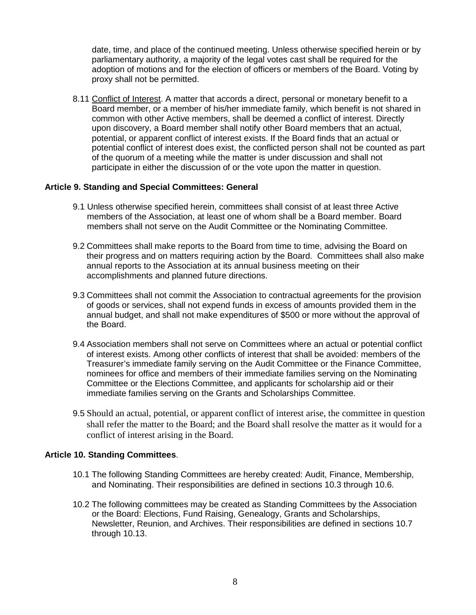date, time, and place of the continued meeting. Unless otherwise specified herein or by parliamentary authority, a majority of the legal votes cast shall be required for the adoption of motions and for the election of officers or members of the Board. Voting by proxy shall not be permitted.

8.11 Conflict of Interest. A matter that accords a direct, personal or monetary benefit to a Board member, or a member of his/her immediate family, which benefit is not shared in common with other Active members, shall be deemed a conflict of interest. Directly upon discovery, a Board member shall notify other Board members that an actual, potential, or apparent conflict of interest exists. If the Board finds that an actual or potential conflict of interest does exist, the conflicted person shall not be counted as part of the quorum of a meeting while the matter is under discussion and shall not participate in either the discussion of or the vote upon the matter in question.

#### **Article 9. Standing and Special Committees: General**

- 9.1 Unless otherwise specified herein, committees shall consist of at least three Active members of the Association, at least one of whom shall be a Board member. Board members shall not serve on the Audit Committee or the Nominating Committee.
- 9.2 Committees shall make reports to the Board from time to time, advising the Board on their progress and on matters requiring action by the Board. Committees shall also make annual reports to the Association at its annual business meeting on their accomplishments and planned future directions.
- 9.3 Committees shall not commit the Association to contractual agreements for the provision of goods or services, shall not expend funds in excess of amounts provided them in the annual budget, and shall not make expenditures of \$500 or more without the approval of the Board.
- 9.4 Association members shall not serve on Committees where an actual or potential conflict of interest exists. Among other conflicts of interest that shall be avoided: members of the Treasurer's immediate family serving on the Audit Committee or the Finance Committee, nominees for office and members of their immediate families serving on the Nominating Committee or the Elections Committee, and applicants for scholarship aid or their immediate families serving on the Grants and Scholarships Committee.
- 9.5 Should an actual, potential, or apparent conflict of interest arise, the committee in question shall refer the matter to the Board; and the Board shall resolve the matter as it would for a conflict of interest arising in the Board.

# **Article 10. Standing Committees**.

- 10.1 The following Standing Committees are hereby created: Audit, Finance, Membership, and Nominating. Their responsibilities are defined in sections 10.3 through 10.6.
- 10.2 The following committees may be created as Standing Committees by the Association or the Board: Elections, Fund Raising, Genealogy, Grants and Scholarships, Newsletter, Reunion, and Archives. Their responsibilities are defined in sections 10.7 through 10.13.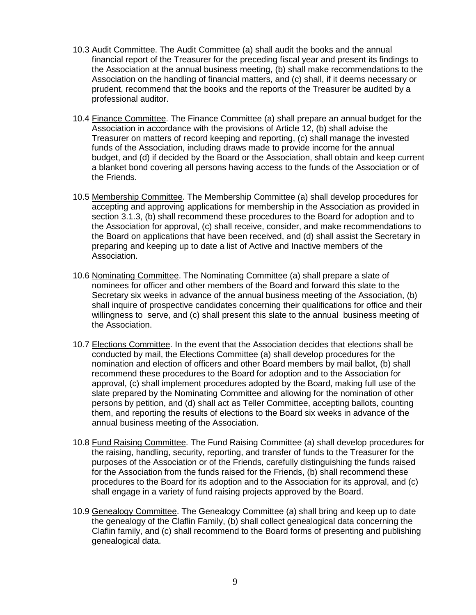- 10.3 Audit Committee. The Audit Committee (a) shall audit the books and the annual financial report of the Treasurer for the preceding fiscal year and present its findings to the Association at the annual business meeting, (b) shall make recommendations to the Association on the handling of financial matters, and (c) shall, if it deems necessary or prudent, recommend that the books and the reports of the Treasurer be audited by a professional auditor.
- 10.4 Finance Committee. The Finance Committee (a) shall prepare an annual budget for the Association in accordance with the provisions of Article 12, (b) shall advise the Treasurer on matters of record keeping and reporting, (c) shall manage the invested funds of the Association, including draws made to provide income for the annual budget, and (d) if decided by the Board or the Association, shall obtain and keep current a blanket bond covering all persons having access to the funds of the Association or of the Friends.
- 10.5 Membership Committee. The Membership Committee (a) shall develop procedures for accepting and approving applications for membership in the Association as provided in section 3.1.3, (b) shall recommend these procedures to the Board for adoption and to the Association for approval, (c) shall receive, consider, and make recommendations to the Board on applications that have been received, and (d) shall assist the Secretary in preparing and keeping up to date a list of Active and Inactive members of the Association.
- 10.6 Nominating Committee. The Nominating Committee (a) shall prepare a slate of nominees for officer and other members of the Board and forward this slate to the Secretary six weeks in advance of the annual business meeting of the Association, (b) shall inquire of prospective candidates concerning their qualifications for office and their willingness to serve, and (c) shall present this slate to the annual business meeting of the Association.
- 10.7 Elections Committee. In the event that the Association decides that elections shall be conducted by mail, the Elections Committee (a) shall develop procedures for the nomination and election of officers and other Board members by mail ballot, (b) shall recommend these procedures to the Board for adoption and to the Association for approval, (c) shall implement procedures adopted by the Board, making full use of the slate prepared by the Nominating Committee and allowing for the nomination of other persons by petition, and (d) shall act as Teller Committee, accepting ballots, counting them, and reporting the results of elections to the Board six weeks in advance of the annual business meeting of the Association.
- 10.8 Fund Raising Committee. The Fund Raising Committee (a) shall develop procedures for the raising, handling, security, reporting, and transfer of funds to the Treasurer for the purposes of the Association or of the Friends, carefully distinguishing the funds raised for the Association from the funds raised for the Friends, (b) shall recommend these procedures to the Board for its adoption and to the Association for its approval, and (c) shall engage in a variety of fund raising projects approved by the Board.
- 10.9 Genealogy Committee. The Genealogy Committee (a) shall bring and keep up to date the genealogy of the Claflin Family, (b) shall collect genealogical data concerning the Claflin family, and (c) shall recommend to the Board forms of presenting and publishing genealogical data.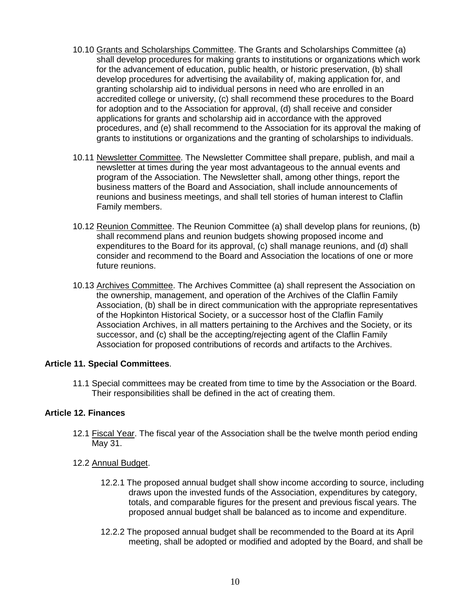- 10.10 Grants and Scholarships Committee. The Grants and Scholarships Committee (a) shall develop procedures for making grants to institutions or organizations which work for the advancement of education, public health, or historic preservation, (b) shall develop procedures for advertising the availability of, making application for, and granting scholarship aid to individual persons in need who are enrolled in an accredited college or university, (c) shall recommend these procedures to the Board for adoption and to the Association for approval, (d) shall receive and consider applications for grants and scholarship aid in accordance with the approved procedures, and (e) shall recommend to the Association for its approval the making of grants to institutions or organizations and the granting of scholarships to individuals.
- 10.11 Newsletter Committee. The Newsletter Committee shall prepare, publish, and mail a newsletter at times during the year most advantageous to the annual events and program of the Association. The Newsletter shall, among other things, report the business matters of the Board and Association, shall include announcements of reunions and business meetings, and shall tell stories of human interest to Claflin Family members.
- 10.12 Reunion Committee. The Reunion Committee (a) shall develop plans for reunions, (b) shall recommend plans and reunion budgets showing proposed income and expenditures to the Board for its approval, (c) shall manage reunions, and (d) shall consider and recommend to the Board and Association the locations of one or more future reunions.
- 10.13 Archives Committee. The Archives Committee (a) shall represent the Association on the ownership, management, and operation of the Archives of the Claflin Family Association, (b) shall be in direct communication with the appropriate representatives of the Hopkinton Historical Society, or a successor host of the Claflin Family Association Archives, in all matters pertaining to the Archives and the Society, or its successor, and (c) shall be the accepting/rejecting agent of the Claflin Family Association for proposed contributions of records and artifacts to the Archives.

# **Article 11. Special Committees**.

11.1 Special committees may be created from time to time by the Association or the Board. Their responsibilities shall be defined in the act of creating them.

# **Article 12. Finances**

- 12.1 Fiscal Year. The fiscal year of the Association shall be the twelve month period ending May 31.
- 12.2 Annual Budget.
	- 12.2.1 The proposed annual budget shall show income according to source, including draws upon the invested funds of the Association, expenditures by category, totals, and comparable figures for the present and previous fiscal years. The proposed annual budget shall be balanced as to income and expenditure.
	- 12.2.2 The proposed annual budget shall be recommended to the Board at its April meeting, shall be adopted or modified and adopted by the Board, and shall be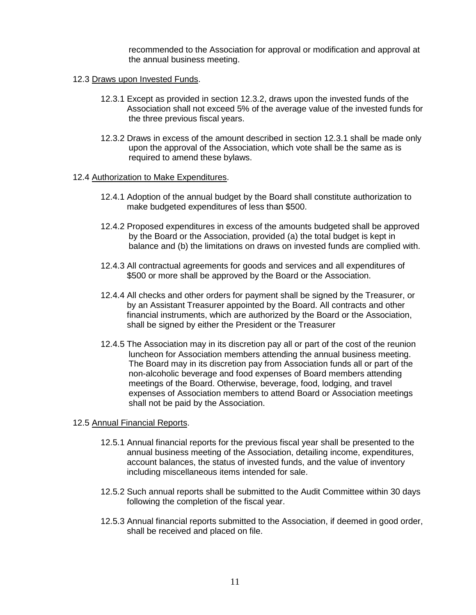recommended to the Association for approval or modification and approval at the annual business meeting.

#### 12.3 Draws upon Invested Funds.

- 12.3.1 Except as provided in section 12.3.2, draws upon the invested funds of the Association shall not exceed 5% of the average value of the invested funds for the three previous fiscal years.
- 12.3.2 Draws in excess of the amount described in section 12.3.1 shall be made only upon the approval of the Association, which vote shall be the same as is required to amend these bylaws.

#### 12.4 Authorization to Make Expenditures.

- 12.4.1 Adoption of the annual budget by the Board shall constitute authorization to make budgeted expenditures of less than \$500.
- 12.4.2 Proposed expenditures in excess of the amounts budgeted shall be approved by the Board or the Association, provided (a) the total budget is kept in balance and (b) the limitations on draws on invested funds are complied with.
- 12.4.3 All contractual agreements for goods and services and all expenditures of \$500 or more shall be approved by the Board or the Association.
- 12.4.4 All checks and other orders for payment shall be signed by the Treasurer, or by an Assistant Treasurer appointed by the Board. All contracts and other financial instruments, which are authorized by the Board or the Association, shall be signed by either the President or the Treasurer
- 12.4.5 The Association may in its discretion pay all or part of the cost of the reunion luncheon for Association members attending the annual business meeting. The Board may in its discretion pay from Association funds all or part of the non-alcoholic beverage and food expenses of Board members attending meetings of the Board. Otherwise, beverage, food, lodging, and travel expenses of Association members to attend Board or Association meetings shall not be paid by the Association.

# 12.5 Annual Financial Reports.

- 12.5.1 Annual financial reports for the previous fiscal year shall be presented to the annual business meeting of the Association, detailing income, expenditures, account balances, the status of invested funds, and the value of inventory including miscellaneous items intended for sale.
- 12.5.2 Such annual reports shall be submitted to the Audit Committee within 30 days following the completion of the fiscal year.
- 12.5.3 Annual financial reports submitted to the Association, if deemed in good order, shall be received and placed on file.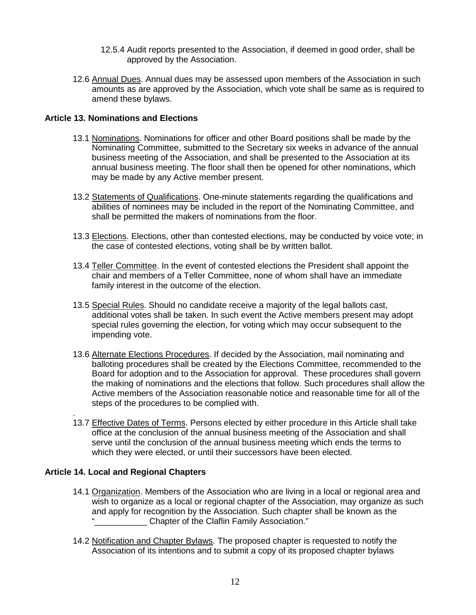- 12.5.4 Audit reports presented to the Association, if deemed in good order, shall be approved by the Association.
- 12.6 Annual Dues. Annual dues may be assessed upon members of the Association in such amounts as are approved by the Association, which vote shall be same as is required to amend these bylaws.

#### **Article 13. Nominations and Elections**

- 13.1 Nominations. Nominations for officer and other Board positions shall be made by the Nominating Committee, submitted to the Secretary six weeks in advance of the annual business meeting of the Association, and shall be presented to the Association at its annual business meeting. The floor shall then be opened for other nominations, which may be made by any Active member present.
- 13.2 Statements of Qualifications. One-minute statements regarding the qualifications and abilities of nominees may be included in the report of the Nominating Committee, and shall be permitted the makers of nominations from the floor.
- 13.3 Elections. Elections, other than contested elections, may be conducted by voice vote; in the case of contested elections, voting shall be by written ballot.
- 13.4 Teller Committee. In the event of contested elections the President shall appoint the chair and members of a Teller Committee, none of whom shall have an immediate family interest in the outcome of the election.
- 13.5 Special Rules. Should no candidate receive a majority of the legal ballots cast, additional votes shall be taken. In such event the Active members present may adopt special rules governing the election, for voting which may occur subsequent to the impending vote.
- 13.6 Alternate Elections Procedures. If decided by the Association, mail nominating and balloting procedures shall be created by the Elections Committee, recommended to the Board for adoption and to the Association for approval. These procedures shall govern the making of nominations and the elections that follow. Such procedures shall allow the Active members of the Association reasonable notice and reasonable time for all of the steps of the procedures to be complied with.
- . 13.7 Effective Dates of Terms. Persons elected by either procedure in this Article shall take office at the conclusion of the annual business meeting of the Association and shall serve until the conclusion of the annual business meeting which ends the terms to which they were elected, or until their successors have been elected.

# **Article 14. Local and Regional Chapters**

- 14.1 Organization. Members of the Association who are living in a local or regional area and wish to organize as a local or regional chapter of the Association, may organize as such and apply for recognition by the Association. Such chapter shall be known as the **Chapter of the Claflin Family Association.**"
- 14.2 Notification and Chapter Bylaws. The proposed chapter is requested to notify the Association of its intentions and to submit a copy of its proposed chapter bylaws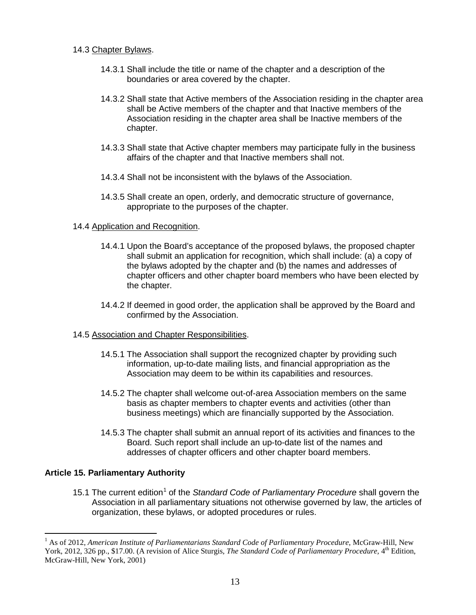#### 14.3 Chapter Bylaws.

- 14.3.1 Shall include the title or name of the chapter and a description of the boundaries or area covered by the chapter.
- 14.3.2 Shall state that Active members of the Association residing in the chapter area shall be Active members of the chapter and that Inactive members of the Association residing in the chapter area shall be Inactive members of the chapter.
- 14.3.3 Shall state that Active chapter members may participate fully in the business affairs of the chapter and that Inactive members shall not.
- 14.3.4 Shall not be inconsistent with the bylaws of the Association.
- 14.3.5 Shall create an open, orderly, and democratic structure of governance, appropriate to the purposes of the chapter.

#### 14.4 Application and Recognition.

- 14.4.1 Upon the Board's acceptance of the proposed bylaws, the proposed chapter shall submit an application for recognition, which shall include: (a) a copy of the bylaws adopted by the chapter and (b) the names and addresses of chapter officers and other chapter board members who have been elected by the chapter.
- 14.4.2 If deemed in good order, the application shall be approved by the Board and confirmed by the Association.
- 14.5 Association and Chapter Responsibilities.
	- 14.5.1 The Association shall support the recognized chapter by providing such information, up-to-date mailing lists, and financial appropriation as the Association may deem to be within its capabilities and resources.
	- 14.5.2 The chapter shall welcome out-of-area Association members on the same basis as chapter members to chapter events and activities (other than business meetings) which are financially supported by the Association.
	- 14.5.3 The chapter shall submit an annual report of its activities and finances to the Board. Such report shall include an up-to-date list of the names and addresses of chapter officers and other chapter board members.

# **Article 15. Parliamentary Authority**

[1](#page-1-0)5.1 The current edition<sup>1</sup> of the *Standard Code of Parliamentary Procedure* shall govern the Association in all parliamentary situations not otherwise governed by law, the articles of organization, these bylaws, or adopted procedures or rules.

<sup>&</sup>lt;sup>1</sup> As of 2012, *American Institute of Parliamentarians Standard Code of Parliamentary Procedure*, McGraw-Hill, New York, 2012, 326 pp., \$17.00. (A revision of Alice Sturgis, *The Standard Code of Parliamentary Procedure*, 4<sup>th</sup> Edition, McGraw-Hill, New York, 2001)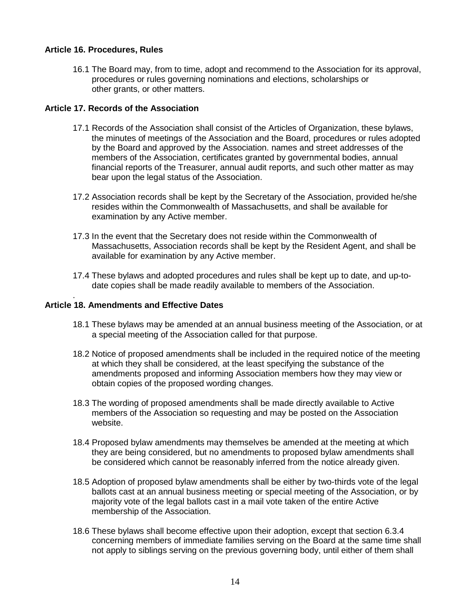### **Article 16. Procedures, Rules**

16.1 The Board may, from to time, adopt and recommend to the Association for its approval, procedures or rules governing nominations and elections, scholarships or other grants, or other matters.

### **Article 17. Records of the Association**

- 17.1 Records of the Association shall consist of the Articles of Organization, these bylaws, the minutes of meetings of the Association and the Board, procedures or rules adopted by the Board and approved by the Association. names and street addresses of the members of the Association, certificates granted by governmental bodies, annual financial reports of the Treasurer, annual audit reports, and such other matter as may bear upon the legal status of the Association.
- 17.2 Association records shall be kept by the Secretary of the Association, provided he/she resides within the Commonwealth of Massachusetts, and shall be available for examination by any Active member.
- 17.3 In the event that the Secretary does not reside within the Commonwealth of Massachusetts, Association records shall be kept by the Resident Agent, and shall be available for examination by any Active member.
- 17.4 These bylaws and adopted procedures and rules shall be kept up to date, and up-to date copies shall be made readily available to members of the Association.

#### . **Article 18. Amendments and Effective Dates**

- 18.1 These bylaws may be amended at an annual business meeting of the Association, or at a special meeting of the Association called for that purpose.
- 18.2 Notice of proposed amendments shall be included in the required notice of the meeting at which they shall be considered, at the least specifying the substance of the amendments proposed and informing Association members how they may view or obtain copies of the proposed wording changes.
- 18.3 The wording of proposed amendments shall be made directly available to Active members of the Association so requesting and may be posted on the Association website.
- 18.4 Proposed bylaw amendments may themselves be amended at the meeting at which they are being considered, but no amendments to proposed bylaw amendments shall be considered which cannot be reasonably inferred from the notice already given.
- 18.5 Adoption of proposed bylaw amendments shall be either by two-thirds vote of the legal ballots cast at an annual business meeting or special meeting of the Association, or by majority vote of the legal ballots cast in a mail vote taken of the entire Active membership of the Association.
- 18.6 These bylaws shall become effective upon their adoption, except that section 6.3.4 concerning members of immediate families serving on the Board at the same time shall not apply to siblings serving on the previous governing body, until either of them shall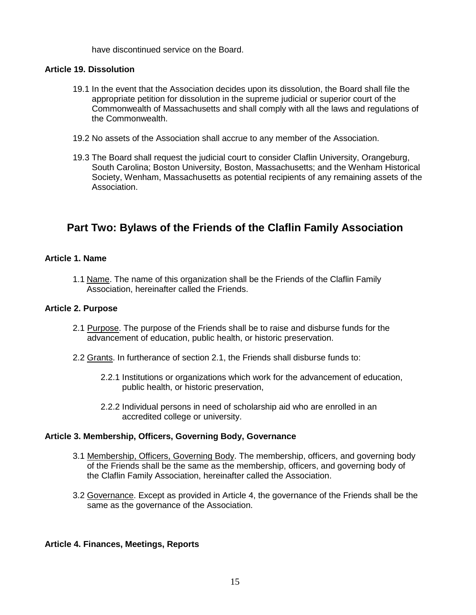have discontinued service on the Board.

#### **Article 19. Dissolution**

- 19.1 In the event that the Association decides upon its dissolution, the Board shall file the appropriate petition for dissolution in the supreme judicial or superior court of the Commonwealth of Massachusetts and shall comply with all the laws and regulations of the Commonwealth.
- 19.2 No assets of the Association shall accrue to any member of the Association.
- 19.3 The Board shall request the judicial court to consider Claflin University, Orangeburg, South Carolina; Boston University, Boston, Massachusetts; and the Wenham Historical Society, Wenham, Massachusetts as potential recipients of any remaining assets of the Association.

# **Part Two: Bylaws of the Friends of the Claflin Family Association**

# **Article 1. Name**

1.1 Name. The name of this organization shall be the Friends of the Claflin Family Association, hereinafter called the Friends.

#### **Article 2. Purpose**

- 2.1 Purpose. The purpose of the Friends shall be to raise and disburse funds for the advancement of education, public health, or historic preservation.
- 2.2 Grants. In furtherance of section 2.1, the Friends shall disburse funds to:
	- 2.2.1 Institutions or organizations which work for the advancement of education, public health, or historic preservation,
	- 2.2.2 Individual persons in need of scholarship aid who are enrolled in an accredited college or university.

#### **Article 3. Membership, Officers, Governing Body, Governance**

- 3.1 Membership, Officers, Governing Body. The membership, officers, and governing body of the Friends shall be the same as the membership, officers, and governing body of the Claflin Family Association, hereinafter called the Association.
- 3.2 Governance. Except as provided in Article 4, the governance of the Friends shall be the same as the governance of the Association.

# **Article 4. Finances, Meetings, Reports**